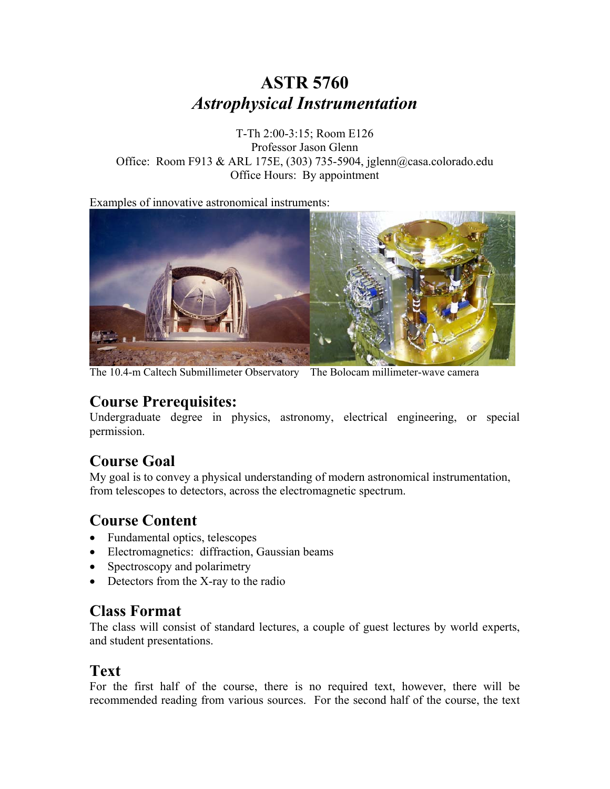# **ASTR 5760**  *Astrophysical Instrumentation*

T-Th 2:00-3:15; Room E126 Professor Jason Glenn Office: Room F913 & ARL 175E, (303) 735-5904, jglenn@casa.colorado.edu Office Hours: By appointment

Examples of innovative astronomical instruments:



The 10.4-m Caltech Submillimeter Observatory The Bolocam millimeter-wave camera

# **Course Prerequisites:**

Undergraduate degree in physics, astronomy, electrical engineering, or special permission.

### **Course Goal**

My goal is to convey a physical understanding of modern astronomical instrumentation, from telescopes to detectors, across the electromagnetic spectrum.

# **Course Content**

- Fundamental optics, telescopes
- Electromagnetics: diffraction, Gaussian beams
- Spectroscopy and polarimetry
- Detectors from the X-ray to the radio

#### **Class Format**

The class will consist of standard lectures, a couple of guest lectures by world experts, and student presentations.

#### **Text**

For the first half of the course, there is no required text, however, there will be recommended reading from various sources. For the second half of the course, the text